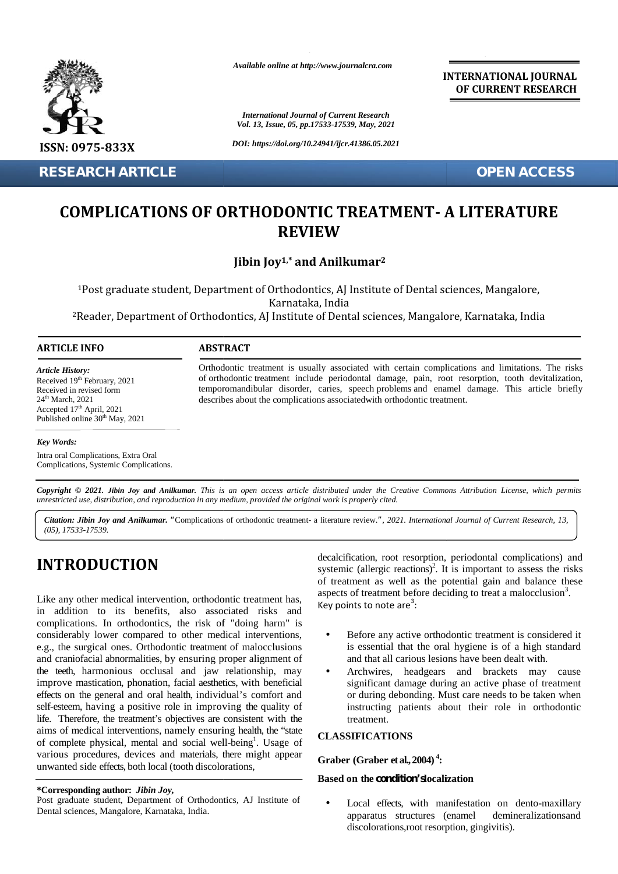

**RESEARCH ARTICLE OPEN ACCESS**

*Available online at http://www.journalcra.com*

*International Journal of Current Research Vol. 13, Issue, 05, pp.17533-17539, May, 2021*

*DOI: https://doi.org/10.24941/ijcr.41386.05.2021*

**INTERNATIONAL JOURNAL OF CURRENT RESEARCH**

# COMPLICATIONS OF ORTHODONTIC TREATMENT- A LITERATURE<br>REVIEW **REVIEW COMPLICATIONS OF ORTHODONTIC TREATMENT- A LITERATURE<br>
REVIEW**<br> **REVIEW**<br> **REVIEW**<br> **REVIEW**<br> **Post graduate student, Department of Orthodontics, AJ Institute of Dental sciences, Mangalore,<br>
<sup>REATRICLE INFO<br>
<b>ACCESS**<br> **ACC**</sup> **CHARTICLE**<br> **CHARTICUS OF ORTHODONTIC TREATMENT - A LITERATURE<br>
REVIEW**<br> **IBMIN 199<sup>3</sup> and Anilkumar<sup>2</sup><br>
traducts student, Department of Orthodontics, Al<sub>l</sub> Institute of Dental sciences, Mangalore, Armataka, India<br>
<b>O**<br>

**Jibin Joy1,\* and Anilkumar<sup>2</sup> 1,\***

<sup>1</sup>Post graduate student, Department of Orthodontics, AJ Institute of Dental sciences, Mangalore, Karnataka, India India

<sup>2</sup>Reader, Department of Orthodontics, AJ Institute of Dental sciences, Mangalore, Karnataka, India

#### **ARTICLE INFO ABSTRACT ARTICLE ABSTRACT**

*Article History:* Received 19<sup>th</sup> February, 2021 Received 19 February, 2021<br>Received in revised form 24<sup>th</sup> March, 2021 Accepted 17<sup>th</sup> April, 2021 Published online 30<sup>th</sup> May, 2021

Orthodontic treatment is usually associated with certain complications and limitations. The risks of orthodontic treatment include periodontal damage, pain, root resorption, tooth devitalization, devitalization,Orthodontic treatment is usually associated with certain complications and limitations. The risks of orthodontic treatment include periodontal damage, pain, root resorption, tooth devitalization, temporomandibular disorder describes about the complications associatedwith orthodontic treatment.

#### *Key Words:*

Intra oral Complications, Extra Oral Complications, Systemic Complications.

Copyright © 2021. Jibin Joy and Anilkumar. This is an open access article distributed under the Creative Commons Attribution License, which permits unrestricted use, distribution, and reproduction in any medium, provided the original work is properly cited.

Citation: Jibin Joy and Anilkumar. "Complications of orthodontic treatment- a literature review.", 2021. International Journal of Current Research, 13, *(05), 17533-17539.*

### **INTRODUCTION INTRODUCTION**

Like any other medical intervention, orthodontic treatment has, in addition to its benefits, also associated risks and new complications. In orthodontics, the risk of "doing harm" is considerably lower compared to other medical interventions, e.g., the surgical ones. Orthodontic treatment of malocclusions considerably lower compared to other medical interventions,<br>e.g., the surgical ones. Orthodontic treatment of malocclusions<br>and craniofacial abnormalities, by ensuring proper alignment of the teeth, harmonious occlusal and jaw relationship, may improve mastication, phonation, facial aesthetics, with beneficial effects on the general and oral health, individual's comfort and self-esteem, having a positive role in improving the quality of life. Therefore, the treatment's objectives are consistent with the life. Therefore, the treatment's objectives are consistent with the aims of medical interventions, namely ensuring health, the "state  $\epsilon_{\text{II}}$ of complete physical, mental and social well-being<sup>1</sup>. Usage of of complete physical, mental and social well-being<sup>1</sup>. Usage of various procedures, devices and materials, there might appear unwanted side effects, both local (tooth discolorations, Like any other medical intervention, orthodontic treatment has,<br>in addition to its benefits, also associated risks and<br>complications. In orthodontics, the risk of "doing harm" is the teeth, harmonious occlusal and jaw relationship, may improve mastication, phonation, facial aesthetics, with beneficial effects on the general and oral health, individual's comfort and self-esteem, having a positive ro **INTRODUCTION**<br>
systemic (allergic reactions)<sup>2</sup>. It is important to assess the risks<br>
sof reatment as well as the potential gain and balance these<br>
in addition to its benefits, also associated risks and key points to not **CHON CONFIDENTIFY (1997)**<br> **CHOME CONFIDENTIFY (1997)**<br> **CHONE CONFIDENTIFY (1997)**<br> **IARTICLE**<br> **IARTICLE**<br> **IARTICLE**<br> **IARTICLE**<br> **IARTICLE**<br> **IARTICLE**<br> **IARTICLE**<br> **IARTICLE**<br> **IARTICLE**<br> **IARTICLE**<br> **IARTICLE**<br> **IAR** 

#### **\*Corresponding author:** *Jibin Joy,* **\*Corresponding**

decalcification, root resorption, periodontal complications) and systemic (allergic reactions)<sup>2</sup>. It is important to assess the risks of treatment as well as the potential gain and balance these aspects of treatment before deciding to treat a malocclusion<sup>3</sup>. Key points to note are $3$ : actions)<sup>2</sup>. It is important to assess the risks 1 as the potential gain and balance these before deciding to treat a malocclusion<sup>3</sup>.

- Before any active orthodontic treatment is considered it is essential that the oral hygiene is of a high standard and that all carious lesions have been dealt with.
- Archwires, headgears and brackets may cause significant damage during an active phase of treatment or during debonding. Must care needs to be taken when instructing patients about their role in orthodontic treatment. is essential that the oral hygiene is of a high standard and that all carious lesions have been dealt with.<br>Archwires, headgears and brackets may cause significant damage during an active phase of treatment or during debon

#### **CLASSIFICATIONS**

#### **Graber (Graber et al.,2004) <sup>4</sup>:**

## **Based on the condition'slocalization Graberet Based**

 Local effects, with manifestation on dento-maxillary apparatus structures (enamel demineralizationsand discolorations,root resorption, gingivitis).

Post graduate student, Department of Orthodontics, AJ Institute of Dental sciences, Mangalore, Karnataka, India.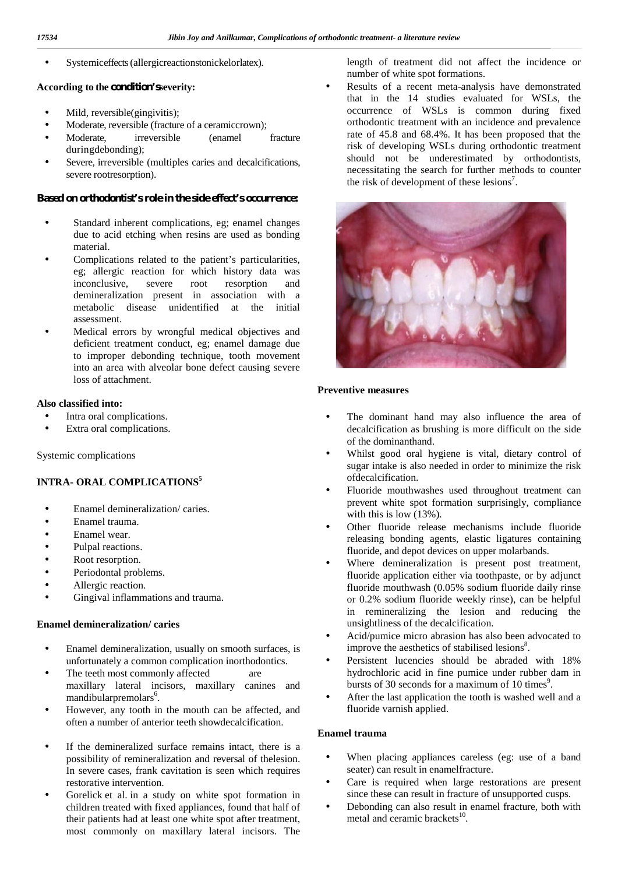Systemiceffects(allergicreactionstonickelorlatex).

#### **According to the condition'sseverity:**

- Mild, reversible(gingivitis);
- Moderate, reversible (fracture of a ceramiccrown);
- Moderate, irreversible (enamel fracture duringdebonding);
- Severe, irreversible (multiples caries and decalcifications, severe rootresorption).

#### **Based on orthodontist's role in the side effect's occurrence:**

- Standard inherent complications, eg; enamel changes due to acid etching when resins are used as bonding material.
- Complications related to the patient's particularities, eg; allergic reaction for which history data was inconclusive, severe root resorption and demineralization present in association with a metabolic disease unidentified at the initial assessment.
- Medical errors by wrongful medical objectives and deficient treatment conduct, eg; enamel damage due to improper debonding technique, tooth movement into an area with alveolar bone defect causing severe loss of attachment.

#### **Also classified into:**

- Intra oral complications.
- Extra oral complications.

Systemic complications

#### **INTRA- ORAL COMPLICATIONS<sup>5</sup>**

- Enamel demineralization/ caries.
- Enamel trauma.
- Enamel wear.
- Pulpal reactions.
- Root resorption.
- Periodontal problems.
- Allergic reaction.
- Gingival inflammations and trauma.

#### **Enamel demineralization/ caries**

- Enamel demineralization, usually on smooth surfaces, is unfortunately a common complication inorthodontics.
- The teeth most commonly affected are maxillary lateral incisors, maxillary canines and mandibularpremolars<sup>6</sup>.
- However, any tooth in the mouth can be affected, and often a number of anterior teeth showdecalcification.
- If the demineralized surface remains intact, there is a<br>nossibility of remineralization and reversal of the lesion possibility of remineralization and reversal of thelesion. In severe cases, frank cavitation is seen which requires restorative intervention.
- (a) domination in Solventiack et al. in a study on white spot formation in children treated with fixed appliances, found that half of children treated with fixed appliances, found that half of their patients had at least one white spot after treatment, most commonly on maxillary lateral incisors. The

length of treatment did not affect the incidence or number of white spot formations.

 Results of a recent meta-analysis have demonstrated that in the 14 studies evaluated for WSLs, the occurrence of WSLs is common during fixed orthodontic treatment with an incidence and prevalence rate of 45.8 and 68.4%. It has been proposed that the risk of developing WSLs during orthodontic treatment should not be underestimated by orthodontists, necessitating the search for further methods to counter the risk of development of these lesions 7 .



#### **Preventive measures**

- The dominant hand may also influence the area of decalcification as brushing is more difficult on the side of the dominanthand.
- Whilst good oral hygiene is vital, dietary control of sugar intake is also needed in order to minimize the risk ofdecalcification.
- Fluoride mouthwashes used throughout treatment can prevent white spot formation surprisingly, compliance with this is low (13%).
- Other fluoride release mechanisms include fluoride releasing bonding agents, elastic ligatures containing fluoride, and depot devices on upper molarbands.
- Where demineralization is present post treatment, fluoride application either via toothpaste, or by adjunct fluoride mouthwash (0.05% sodium fluoride daily rinse or 0.2% sodium fluoride weekly rinse), can be helpful in remineralizing the lesion and reducing the unsightliness of the decalcification.
- Acid/pumice micro abrasion has also been advocated to improve the aesthetics of stabilised lesions<sup>8</sup>.
- Persistent lucencies should be abraded with 18% hydrochloric acid in fine pumice under rubber dam in bursts of 30 seconds for a maximum of 10 times $\degree$ .
- After the last application the tooth is washed well and a fluoride varnish applied.

#### **Enamel trauma**

- When placing appliances careless (eg: use of a band seater) can result in enamelfracture.
- Care is required when large restorations are present since these can result in fracture of unsupported cusps.
- Debonding can also result in enamel fracture, both with metal and ceramic brackets<sup>10</sup>.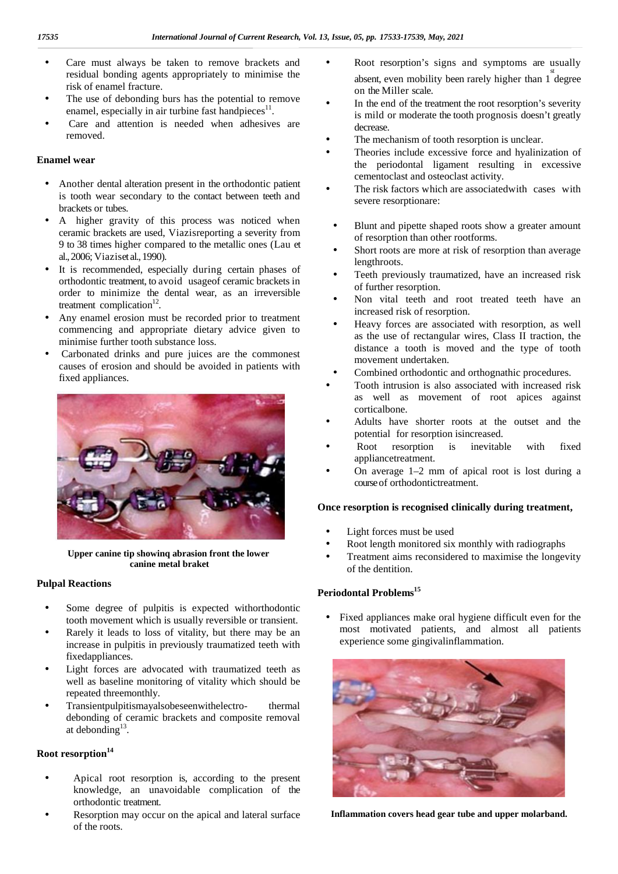- Care must always be taken to remove brackets and residual bonding agents appropriately to minimise the risk of enamel fracture.
- The use of debonding burs has the potential to remove enamel, especially in air turbine fast handpieces $^{11}$ .
- Care and attention is needed when adhesives are removed.

#### **Enamel wear**

- Another dental alteration present in the orthodontic patient Another dental alteration present in the orthodontic patient<br>is tooth wear secondary to the contact between teeth and brackets or tubes.
- A higher gravity of this process was noticed when ceramic brackets are used, Viazisreporting a severity from 9 to 38 times higher compared to the metallic ones (Lau et al.,2006; Viaziset al.,1990).
- It is recommended, especially during certain phases of orthodontic treatment, to avoid usageof ceramic brackets in order to minimize the dental wear, as an irreversible treatment complication $12$ .
- Any enamel erosion must be recorded prior to treatment commencing and appropriate dietary advice given to minimise further tooth substance loss.
- Carbonated drinks and pure juices are the commonest causes of erosion and should be avoided in patients with fixed appliances.



**Upper canine tip showinq abrasion front the lower canine metal braket**

#### **Pulpal Reactions**

- Some degree of pulpitis is expected withorthodontic tooth movement which is usually reversible or transient.
- Rarely it leads to loss of vitality, but there may be an increase in pulpitis in previously traumatized teeth with fixedappliances.
- Light forces are advocated with traumatized teeth as well as baseline monitoring of vitality which should be repeated threemonthly.
- Transientpulpitismayalsobeseenwithelectro- thermal debonding of ceramic brackets and composite removal at debonding $^{13}$ .

#### **Root resorption<sup>14</sup>**

- Apical root resorption is, according to the present knowledge, an unavoidable complication of the orthodontic treatment.
- Resorption may occur on the apical and lateral surface of the roots.
- Root resorption's signs and symptoms are usually absent, even mobility been rarely higher than  $1<sup>st</sup>$  degree on the Miller scale.
- In the end of the treatment the root resorption's severity is mild or moderate the tooth prognosis doesn't greatly decrease.
- $\int$  The mechanism of tooth resorption is unclear.<br>Theories include excessive force and hyginic
- Theories include excessive force and hyalinization of the periodontal ligament resulting in excessive cementoclast and osteoclast activity.
- The risk factors which are associatedwith cases with severe resorptionare:
- Blunt and pipette shaped roots show a greater amount of resorption than other rootforms.
- Short roots are more at risk of resorption than average lengthroots.
- Teeth previously traumatized, have an increased risk of further resorption.
- Non vital teeth and root treated teeth have an increased risk of resorption.
- Heavy forces are associated with resorption, as well as the use of rectangular wires, Class II traction, the distance a tooth is moved and the type of tooth movement undertaken.
- Combined orthodontic and orthognathic procedures.
- Tooth intrusion is also associated with increased risk as well as movement of root apices against corticalbone.
- Adults have shorter roots at the outset and the potential for resorption isincreased.
- Root resorption is inevitable with fixed appliancetreatment.
- On average 1–2 mm of apical root is lost during a course of orthodontictreatment.

#### **Once resorption is recognised clinically during treatment,**

- Light forces must be used
- Root length monitored six monthly with radiographs
- Treatment aims reconsidered to maximise the longevity of the dentition.

#### **Periodontal Problems<sup>15</sup>**

 Fixed appliances make oral hygiene difficult even for the most motivated patients, and almost all patients experience some gingivalinflammation.



**Inflammation covers head gear tube and upper molarband.**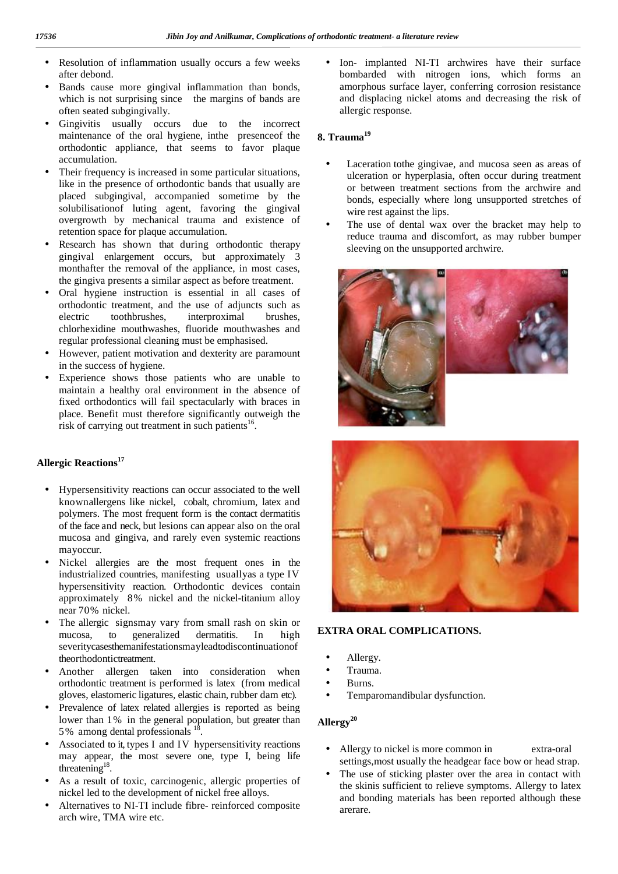- Resolution of inflammation usually occurs a few weeks after debond.
- Bands cause more gingival inflammation than bonds, which is not surprising since the margins of bands are often seated subgingivally.
- Gingivitis usually occurs due to the incorrect maintenance of the oral hygiene, inthe presenceof the orthodontic appliance, that seems to favor plaque accumulation.
- Their frequency is increased in some particular situations, like in the presence of orthodontic bands that usually are placed subgingival, accompanied sometime by the solubilisationof luting agent, favoring the gingival overgrowth by mechanical trauma and existence of retention space for plaque accumulation.
- Research has shown that during orthodontic therapy gingival enlargement occurs, but approximately 3 monthafter the removal of the appliance, in most cases, the gingiva presents a similar aspect as before treatment.
- Oral hygiene instruction is essential in all cases of orthodontic treatment, and the use of adjuncts such as electric toothbrushes, interproximal brushes, chlorhexidine mouthwashes, fluoride mouthwashes and regular professional cleaning must be emphasised.
- However, patient motivation and dexterity are paramount in the success of hygiene.
- Experience shows those patients who are unable to maintain a healthy oral environment in the absence of fixed orthodontics will fail spectacularly with braces in place. Benefit must therefore significantly outweigh the risk of carrying out treatment in such patients<sup>16</sup>.

#### **Allergic Reactions<sup>17</sup>**

- Hypersensitivity reactions can occur associated to the well knownallergens like nickel, cobalt, chromium, latex and polymers. The most frequent form is the contact dermatitis of the face and neck, but lesions can appear also on the oral mucosa and gingiva, and rarely even systemic reactions mayoccur.
- Nickel allergies are the most frequent ones in the industrialized countries, manifesting usuallyas a type IV hypersensitivity reaction. Orthodontic devices contain approximately 8% nickel and the nickel-titanium alloy near 70% nickel.
- The allergic signsmay vary from small rash on skin or mucosa, to generalized dermatitis. In high severitycasesthemanifestationsmayleadtodiscontinuationof theorthodontictreatment.
- Another allergen taken into consideration when orthodontic treatment is performed is latex (from medical gloves, elastomeric ligatures, elastic chain, rubber dam etc).
- Prevalence of latex related allergies is reported as being lower than 1% in the general population, but greater than 5% among dental professionals <sup>18</sup>.
- Associated to it, types I and IV hypersensitivity reactions may appear, the most severe one, type I, being life threatening<sup>18</sup>. .
- As a result of toxic, carcinogenic, allergic properties of nickel led to the development of nickel free alloys.
- Alternatives to NI-TI include fibre- reinforced composite arch wire, TMA wire etc.

 Ion- implanted NI-TI archwires have their surface bombarded with nitrogen ions, which forms an amorphous surface layer, conferring corrosion resistance and displacing nickel atoms and decreasing the risk of allergic response.

#### **8. Trauma<sup>19</sup>**

- Laceration tothe gingivae, and mucosa seen as areas of ulceration or hyperplasia, often occur during treatment or between treatment sections from the archwire and bonds, especially where long unsupported stretches of wire rest against the lips.
- The use of dental wax over the bracket may help to reduce trauma and discomfort, as may rubber bumper sleeving on the unsupported archwire.





#### **EXTRA ORAL COMPLICATIONS.**

- Allergy.
- Trauma.
- Burns.
- Temparomandibular dysfunction.

#### **Allergy<sup>20</sup>**

- Allergy to nickel is more common in extra-oral settings,most usually the headgear face bow or head strap.
- The use of sticking plaster over the area in contact with the skinis sufficient to relieve symptoms. Allergy to latex and bonding materials has been reported although these arerare.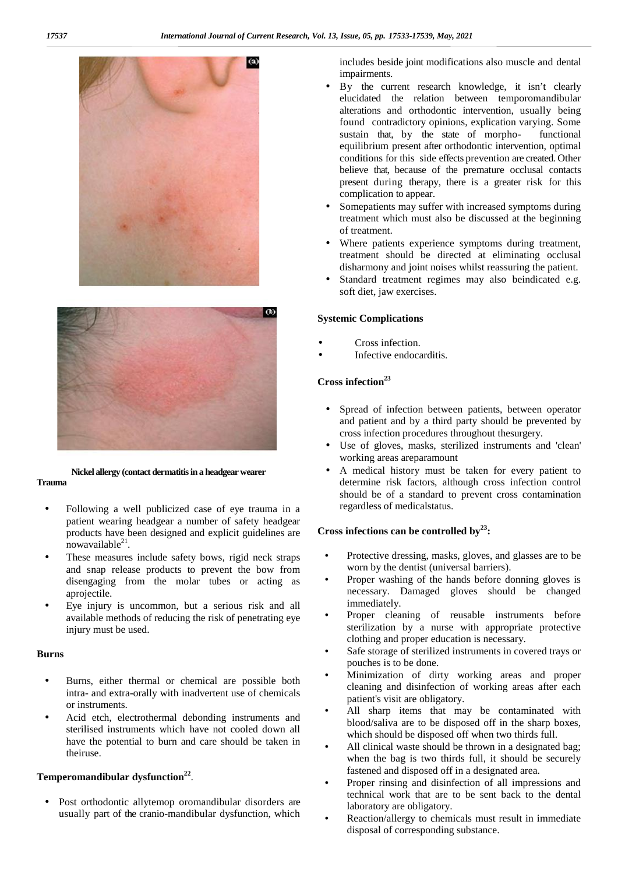



#### **Nickel allergy (contact dermatitis in a headgear wearer Trauma**

- Following a well publicized case of eye trauma in a patient wearing headgear a number of safety headgear products have been designed and explicit guidelines are  $now available<sup>21</sup>$ .
- These measures include safety bows, rigid neck straps and snap release products to prevent the bow from disengaging from the molar tubes or acting as aprojectile.
- Eye injury is uncommon, but a serious risk and all available methods of reducing the risk of penetrating eye injury must be used.

#### **Burns**

- Burns, either thermal or chemical are possible both intra- and extra-orally with inadvertent use of chemicals or instruments.
- Acid etch, electrothermal debonding instruments and sterilised instruments which have not cooled down all have the potential to burn and care should be taken in theiruse.

#### **Temperomandibular dysfunction<sup>22</sup>** .

 Post orthodontic allytemop oromandibular disorders are usually part of the cranio-mandibular dysfunction, which

includes beside joint modifications also muscle and dental impairments.

- By the current research knowledge, it isn't clearly elucidated the relation between temporomandibular alterations and orthodontic intervention, usually being found contradictory opinions, explication varying. Some sustain that, by the state of morpho- functional equilibrium present after orthodontic intervention, optimal conditions for this side effects prevention are created. Other believe that, because of the premature occlusal contacts present during therapy, there is a greater risk for this complication to appear.
- Somepatients may suffer with increased symptoms during treatment which must also be discussed at the beginning of treatment.
- Where patients experience symptoms during treatment, treatment should be directed at eliminating occlusal disharmony and joint noises whilst reassuring the patient.
- Standard treatment regimes may also beindicated e.g. soft diet, jaw exercises.

#### **Systemic Complications**

- Cross infection.
- Infective endocarditis.

#### **Cross infection<sup>23</sup>**

- Spread of infection between patients, between operator and patient and by a third party should be prevented by cross infection procedures throughout thesurgery.
- Use of gloves, masks, sterilized instruments and 'clean' working areas areparamount
- A medical history must be taken for every patient to determine risk factors, although cross infection control should be of a standard to prevent cross contamination regardless of medicalstatus.

#### **Cross infections can be controlled by<sup>23</sup>:**

- Protective dressing, masks, gloves, and glasses are to be worn by the dentist (universal barriers).
- Proper washing of the hands before donning gloves is necessary. Damaged gloves should be changed immediately.
- Proper cleaning of reusable instruments before sterilization by a nurse with appropriate protective clothing and proper education is necessary.
- Safe storage of sterilized instruments in covered trays or pouches is to be done.
- Minimization of dirty working areas and proper cleaning and disinfection of working areas after each patient's visit are obligatory.
- All sharp items that may be contaminated with blood/saliva are to be disposed off in the sharp boxes, which should be disposed off when two thirds full.
- All clinical waste should be thrown in a designated bag: when the bag is two thirds full, it should be securely fastened and disposed off in a designated area.
- Proper rinsing and disinfection of all impressions and technical work that are to be sent back to the dental laboratory are obligatory.
- Reaction/allergy to chemicals must result in immediate disposal of corresponding substance.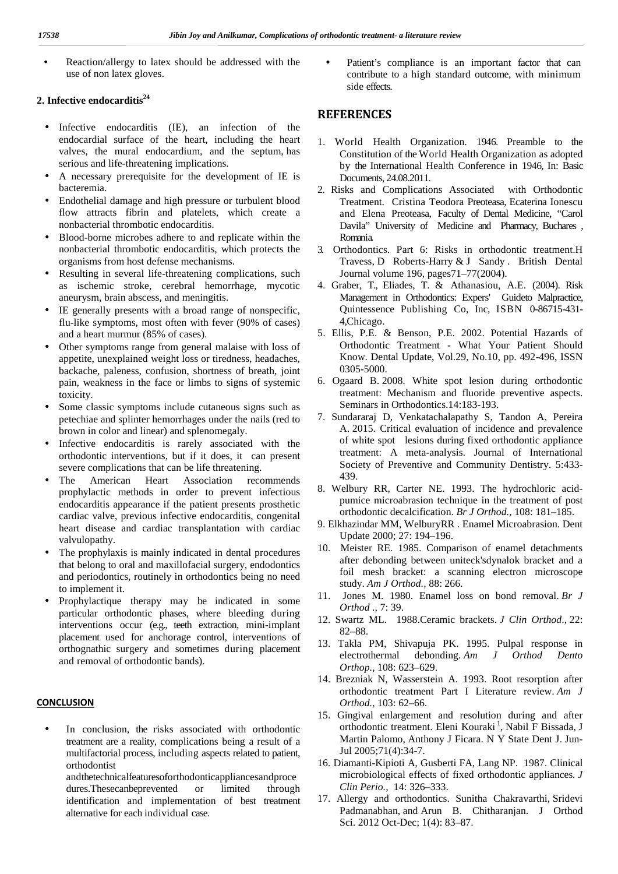Reaction/allergy to latex should be addressed with the  $\qquad$ use of non latex gloves.

#### **2. Infective endocarditis<sup>24</sup>**

- Infective endocarditis (IE), an infection of the endocardial surface of the heart, including the heart valves, the mural endocardium, and the septum, has serious and life-threatening implications.
- A necessary prerequisite for the development of IE is bacteremia.
- Endothelial damage and high pressure or turbulent blood flow attracts fibrin and platelets, which create a nonbacterial thrombotic endocarditis.
- Blood-borne microbes adhere to and replicate within the nonbacterial thrombotic endocarditis, which protects the organisms from host defense mechanisms.
- Resulting in several life-threatening complications, such as ischemic stroke, cerebral hemorrhage, mycotic aneurysm, brain abscess, and meningitis.
- IE generally presents with a broad range of nonspecific, flu-like symptoms, most often with fever (90% of cases) and a heart murmur (85% of cases).
- Other symptoms range from general malaise with loss of appetite, unexplained weight loss or tiredness, headaches, backache, paleness, confusion, shortness of breath, joint pain, weakness in the face or limbs to signs of systemic toxicity.
- Some classic symptoms include cutaneous signs such as petechiae and splinter hemorrhages under the nails (red to brown in color and linear) and splenomegaly.
- Infective endocarditis is rarely associated with the orthodontic interventions, but if it does, it can present severe complications that can be life threatening.
- The American Heart Association recommends prophylactic methods in order to prevent infectious endocarditis appearance if the patient presents prosthetic cardiac valve, previous infective endocarditis, congenital heart disease and cardiac transplantation with cardiac valvulopathy.
- The prophylaxis is mainly indicated in dental procedures that belong to oral and maxillofacial surgery, endodontics and periodontics, routinely in orthodontics being no need to implement it.
- Prophylactique therapy may be indicated in some particular orthodontic phases, where bleeding during interventions occur (e.g., teeth extraction, mini-implant placement used for anchorage control, interventions of orthognathic surgery and sometimes during placement and removal of orthodontic bands).

#### **CONCLUSION**

 In conclusion, the risks associated with orthodontic treatment are a reality, complications being a result of a multifactorial process, including aspects related to patient, orthodontist

andthetechnicalfeaturesoforthodonticappliancesandproce dures.Thesecanbeprevented or limited through identification and implementation of best treatment alternative for each individual case.

 Patient's compliance is an important factor that can contribute to a high standard outcome, with minimum side effects.

#### **REFERENCES**

- 1. World Health Organization. 1946. Preamble to the Constitution of the World Health Organization as adopted by the International Health Conference in 1946, In: Basic Documents, 24.08.2011.
- 2. Risks and Complications Associated with Orthodontic Treatment. Cristina Teodora Preoteasa, Ecaterina Ionescu and Elena Preoteasa, Faculty of Dental Medicine, "Carol Davila" University of Medicine and Pharmacy, Buchares , Romania.
- 3. Orthodontics. Part 6: Risks in orthodontic treatment.H Travess, D Roberts-Harry & J Sandy . British Dental Journal volume 196, pages71–77(2004).
- 4. Graber, T., Eliades, T. & Athanasiou, A.E. (2004). Risk Management in Orthodontics: Expers' Guideto Malpractice, Quintessence Publishing Co, Inc, ISBN 0-86715-431- 4,Chicago.
- 5. Ellis, P.E. & Benson, P.E. 2002. Potential Hazards of Orthodontic Treatment - What Your Patient Should Know. Dental Update, Vol.29, No.10, pp. 492-496, ISSN 0305-5000.
- 6. Ogaard B. 2008. White spot lesion during orthodontic treatment: Mechanism and fluoride preventive aspects. Seminars in Orthodontics.14:183-193.
- 7. Sundararaj D, Venkatachalapathy S, Tandon A, Pereira A. 2015. Critical evaluation of incidence and prevalence of white spot lesions during fixed orthodontic appliance treatment: A meta-analysis. Journal of International Society of Preventive and Community Dentistry. 5:433- 439.
- 8. Welbury RR, Carter NE. 1993. The hydrochloric acid pumice microabrasion technique in the treatment of post orthodontic decalcification. *Br J Orthod.,* 108: 181–185.
- 9. Elkhazindar MM, WelburyRR . Enamel Microabrasion. Dent Update 2000; 27: 194–196.
- 10. Meister RE. 1985. Comparison of enamel detachments after debonding between uniteck'sdynalok bracket and a foil mesh bracket: a scanning electron microscope study. *Am J Orthod.,* 88: 266.
- 11. Jones M. 1980. Enamel loss on bond removal. *Br J Orthod .,* 7: 39.
- 12. Swartz ML. 1988.Ceramic brackets. *J Clin Orthod*., 22: 82–88.
- 13. Takla PM, Shivapuja PK. 1995. Pulpal response in electrothermal debonding. *Am J Orthod Dento Orthop.,* 108: 623–629.
- 14. Brezniak N, Wasserstein A. 1993. Root resorption after orthodontic treatment Part I Literature review. *Am J Orthod.,* 103: 62–66.
- 15. Gingival enlargement and resolution during and after orthodontic treatment. Eleni Kouraki<sup>1</sup>, Nabil F Bissada, J Martin Palomo, Anthony J Ficara. N Y State Dent J. Jun- Jul 2005;71(4):34-7.
- 16. Diamanti-Kipioti A, Gusberti FA, Lang NP. 1987. Clinical microbiological effects of fixed orthodontic appliances*. J Clin Perio.,* 14: 326–333.
- 17. Allergy and orthodontics. Sunitha Chakravarthi, Sridevi Padmanabhan, and Arun B. Chitharanjan. J Orthod Sci. 2012 Oct-Dec; 1(4): 83–87.